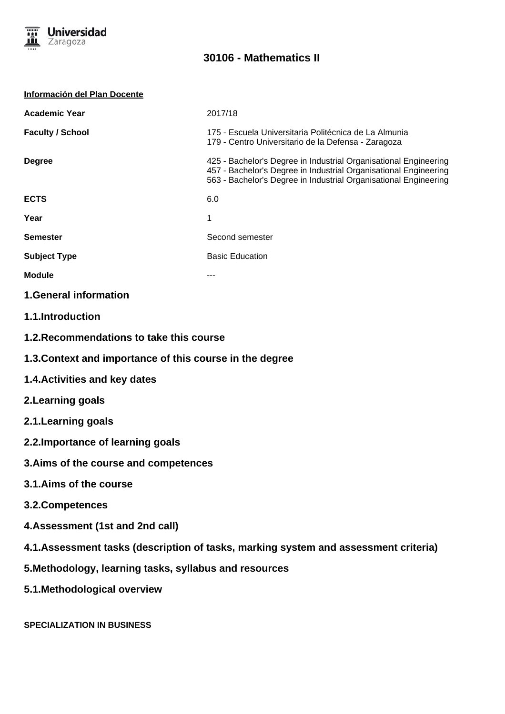

| <b>Información del Plan Docente</b>                                                  |                                                                                                                                                                                                          |
|--------------------------------------------------------------------------------------|----------------------------------------------------------------------------------------------------------------------------------------------------------------------------------------------------------|
| <b>Academic Year</b>                                                                 | 2017/18                                                                                                                                                                                                  |
| <b>Faculty / School</b>                                                              | 175 - Escuela Universitaria Politécnica de La Almunia<br>179 - Centro Universitario de la Defensa - Zaragoza                                                                                             |
| <b>Degree</b>                                                                        | 425 - Bachelor's Degree in Industrial Organisational Engineering<br>457 - Bachelor's Degree in Industrial Organisational Engineering<br>563 - Bachelor's Degree in Industrial Organisational Engineering |
| <b>ECTS</b>                                                                          | 6.0                                                                                                                                                                                                      |
| Year                                                                                 | 1                                                                                                                                                                                                        |
| <b>Semester</b>                                                                      | Second semester                                                                                                                                                                                          |
| <b>Subject Type</b>                                                                  | <b>Basic Education</b>                                                                                                                                                                                   |
| <b>Module</b>                                                                        | ---                                                                                                                                                                                                      |
| <b>1.General information</b>                                                         |                                                                                                                                                                                                          |
| <b>1.1.Introduction</b>                                                              |                                                                                                                                                                                                          |
| 1.2. Recommendations to take this course                                             |                                                                                                                                                                                                          |
| 1.3. Context and importance of this course in the degree                             |                                                                                                                                                                                                          |
| <b>1.4. Activities and key dates</b>                                                 |                                                                                                                                                                                                          |
| 2. Learning goals                                                                    |                                                                                                                                                                                                          |
| 2.1. Learning goals                                                                  |                                                                                                                                                                                                          |
| 2.2. Importance of learning goals                                                    |                                                                                                                                                                                                          |
| 3. Aims of the course and competences                                                |                                                                                                                                                                                                          |
| 3.1.Aims of the course                                                               |                                                                                                                                                                                                          |
| 3.2. Competences                                                                     |                                                                                                                                                                                                          |
| 4. Assessment (1st and 2nd call)                                                     |                                                                                                                                                                                                          |
| 4.1. Assessment tasks (description of tasks, marking system and assessment criteria) |                                                                                                                                                                                                          |
| 5. Methodology, learning tasks, syllabus and resources                               |                                                                                                                                                                                                          |
| 5.1. Methodological overview                                                         |                                                                                                                                                                                                          |
|                                                                                      |                                                                                                                                                                                                          |

**SPECIALIZATION IN BUSINESS**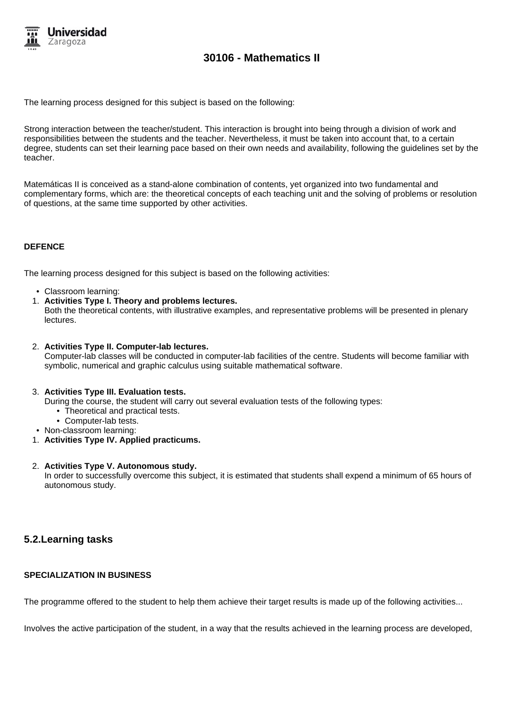

The learning process designed for this subject is based on the following:

Strong interaction between the teacher/student. This interaction is brought into being through a division of work and responsibilities between the students and the teacher. Nevertheless, it must be taken into account that, to a certain degree, students can set their learning pace based on their own needs and availability, following the guidelines set by the teacher.

Matemáticas II is conceived as a stand-alone combination of contents, yet organized into two fundamental and complementary forms, which are: the theoretical concepts of each teaching unit and the solving of problems or resolution of questions, at the same time supported by other activities.

#### **DEFENCE**

The learning process designed for this subject is based on the following activities:

- Classroom learning:
- 1. **Activities Type I. Theory and problems lectures.**

Both the theoretical contents, with illustrative examples, and representative problems will be presented in plenary lectures.

2. **Activities Type II. Computer-lab lectures.**

Computer-lab classes will be conducted in computer-lab facilities of the centre. Students will become familiar with symbolic, numerical and graphic calculus using suitable mathematical software.

#### 3. **Activities Type III. Evaluation tests.**

During the course, the student will carry out several evaluation tests of the following types:

- Theoretical and practical tests.
- Computer-lab tests.
- Non-classroom learning:
- 1. **Activities Type IV. Applied practicums.**

#### 2. **Activities Type V. Autonomous study.**

In order to successfully overcome this subject, it is estimated that students shall expend a minimum of 65 hours of autonomous study.

## **5.2.Learning tasks**

### **SPECIALIZATION IN BUSINESS**

The programme offered to the student to help them achieve their target results is made up of the following activities...

Involves the active participation of the student, in a way that the results achieved in the learning process are developed,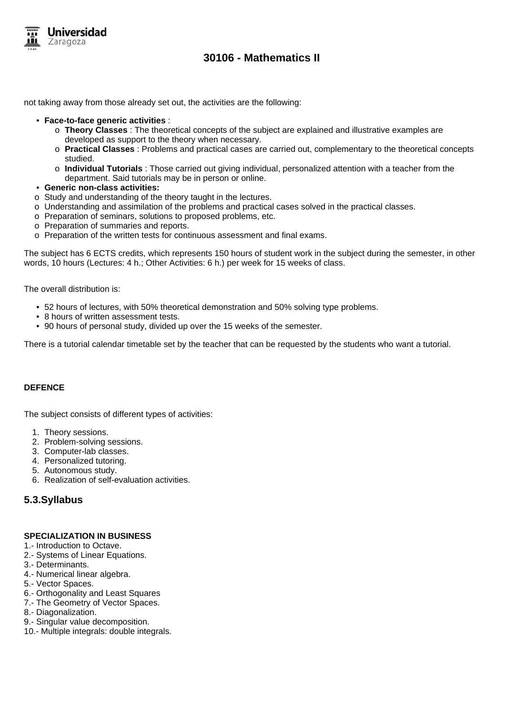

not taking away from those already set out, the activities are the following:

- **Face-to-face generic activities** :
	- o **Theory Classes** : The theoretical concepts of the subject are explained and illustrative examples are developed as support to the theory when necessary.
	- o **Practical Classes** : Problems and practical cases are carried out, complementary to the theoretical concepts studied.
	- o **Individual Tutorials** : Those carried out giving individual, personalized attention with a teacher from the department. Said tutorials may be in person or online.
- **Generic non-class activities:**
- o Study and understanding of the theory taught in the lectures.
- o Understanding and assimilation of the problems and practical cases solved in the practical classes.
- o Preparation of seminars, solutions to proposed problems, etc.
- o Preparation of summaries and reports.
- o Preparation of the written tests for continuous assessment and final exams.

The subject has 6 ECTS credits, which represents 150 hours of student work in the subject during the semester, in other words, 10 hours (Lectures: 4 h.; Other Activities: 6 h.) per week for 15 weeks of class.

The overall distribution is:

- 52 hours of lectures, with 50% theoretical demonstration and 50% solving type problems.
- 8 hours of written assessment tests.
- 90 hours of personal study, divided up over the 15 weeks of the semester.

There is a tutorial calendar timetable set by the teacher that can be requested by the students who want a tutorial.

#### **DEFENCE**

The subject consists of different types of activities:

- 1. Theory sessions.
- 2. Problem-solving sessions.
- 3. Computer-lab classes.
- 4. Personalized tutoring.
- 5. Autonomous study.
- 6. Realization of self-evaluation activities.

## **5.3.Syllabus**

#### **SPECIALIZATION IN BUSINESS**

- 1.- Introduction to Octave.
- 2.- Systems of Linear Equations.
- 3.- Determinants.
- 4.- Numerical linear algebra.
- 5.- Vector Spaces.
- 6.- Orthogonality and Least Squares
- 7.- The Geometry of Vector Spaces.
- 8.- Diagonalization.
- 9.- Singular value decomposition.
- 10.- Multiple integrals: double integrals.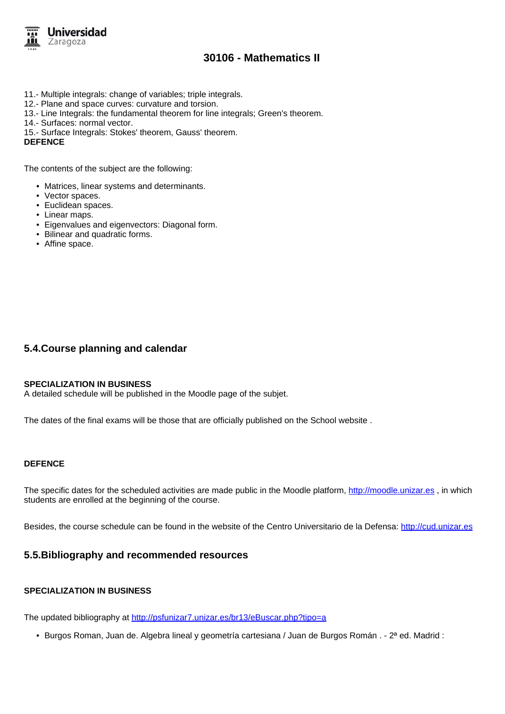

- 11.- Multiple integrals: change of variables; triple integrals.
- 12.- Plane and space curves: curvature and torsion.
- 13.- Line Integrals: the fundamental theorem for line integrals; Green's theorem.
- 14.- Surfaces: normal vector.
- 15.- Surface Integrals: Stokes' theorem, Gauss' theorem.

**DEFENCE**

The contents of the subject are the following:

- Matrices, linear systems and determinants.
- Vector spaces.
- Euclidean spaces.
- Linear maps.
- Eigenvalues and eigenvectors: Diagonal form.
- Bilinear and quadratic forms.
- Affine space.

## **5.4.Course planning and calendar**

#### **SPECIALIZATION IN BUSINESS**

A detailed schedule will be published in the Moodle page of the subjet.

The dates of the final exams will be those that are officially published on the School website .

#### **DEFENCE**

The specific dates for the scheduled activities are made public in the Moodle platform, http://moodle.unizar.es , in which students are enrolled at the beginning of the course.

Besides, the course schedule can be found in the website of the Centro Universitario de la Defensa: http://cud.unizar.es

### **5.5.Bibliography and recommended resources**

#### **SPECIALIZATION IN BUSINESS**

The updated bibliography at http://psfunizar7.unizar.es/br13/eBuscar.php?tipo=a

• Burgos Roman, Juan de. Algebra lineal y geometría cartesiana / Juan de Burgos Román . - 2ª ed. Madrid :